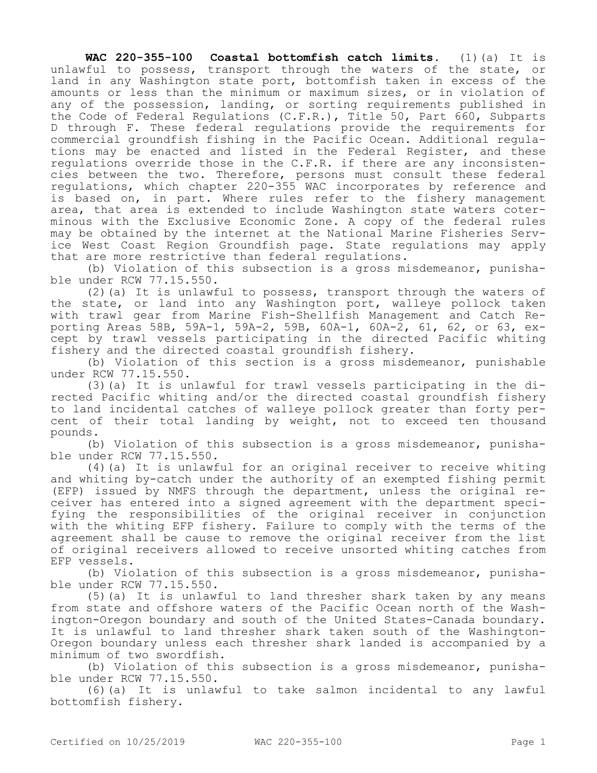**WAC 220-355-100 Coastal bottomfish catch limits.** (1)(a) It is unlawful to possess, transport through the waters of the state, or land in any Washington state port, bottomfish taken in excess of the amounts or less than the minimum or maximum sizes, or in violation of any of the possession, landing, or sorting requirements published in the Code of Federal Regulations (C.F.R.), Title 50, Part 660, Subparts D through F. These federal regulations provide the requirements for commercial groundfish fishing in the Pacific Ocean. Additional regulations may be enacted and listed in the Federal Register, and these regulations override those in the C.F.R. if there are any inconsistencies between the two. Therefore, persons must consult these federal regulations, which chapter 220-355 WAC incorporates by reference and is based on, in part. Where rules refer to the fishery management area, that area is extended to include Washington state waters coterminous with the Exclusive Economic Zone. A copy of the federal rules may be obtained by the internet at the National Marine Fisheries Service West Coast Region Groundfish page. State regulations may apply that are more restrictive than federal regulations.

(b) Violation of this subsection is a gross misdemeanor, punishable under RCW 77.15.550.

(2)(a) It is unlawful to possess, transport through the waters of the state, or land into any Washington port, walleye pollock taken with trawl gear from Marine Fish-Shellfish Management and Catch Reporting Areas 58B, 59A-1, 59A-2, 59B, 60A-1, 60A-2, 61, 62, or 63, except by trawl vessels participating in the directed Pacific whiting fishery and the directed coastal groundfish fishery.

(b) Violation of this section is a gross misdemeanor, punishable under RCW 77.15.550.

(3)(a) It is unlawful for trawl vessels participating in the directed Pacific whiting and/or the directed coastal groundfish fishery to land incidental catches of walleye pollock greater than forty percent of their total landing by weight, not to exceed ten thousand pounds.

(b) Violation of this subsection is a gross misdemeanor, punishable under RCW 77.15.550.

(4)(a) It is unlawful for an original receiver to receive whiting and whiting by-catch under the authority of an exempted fishing permit (EFP) issued by NMFS through the department, unless the original receiver has entered into a signed agreement with the department specifying the responsibilities of the original receiver in conjunction with the whiting EFP fishery. Failure to comply with the terms of the agreement shall be cause to remove the original receiver from the list of original receivers allowed to receive unsorted whiting catches from EFP vessels.

(b) Violation of this subsection is a gross misdemeanor, punishable under RCW 77.15.550.

(5)(a) It is unlawful to land thresher shark taken by any means from state and offshore waters of the Pacific Ocean north of the Washington-Oregon boundary and south of the United States-Canada boundary. It is unlawful to land thresher shark taken south of the Washington-Oregon boundary unless each thresher shark landed is accompanied by a minimum of two swordfish.

(b) Violation of this subsection is a gross misdemeanor, punishable under RCW 77.15.550.

(6)(a) It is unlawful to take salmon incidental to any lawful bottomfish fishery.